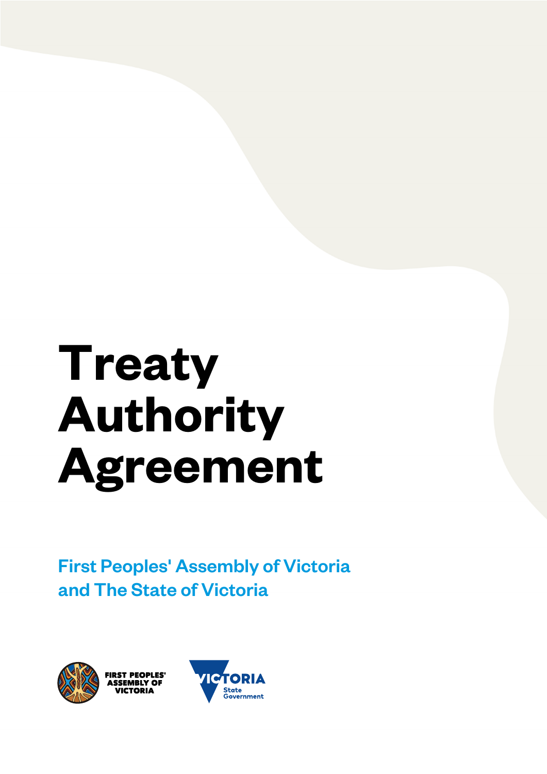# **Treaty Authority Agreement**

First Peoples' Assembly of Victoria and The State of Victoria



**FIRST PEOPLES**<br>ASSEMBLY OF

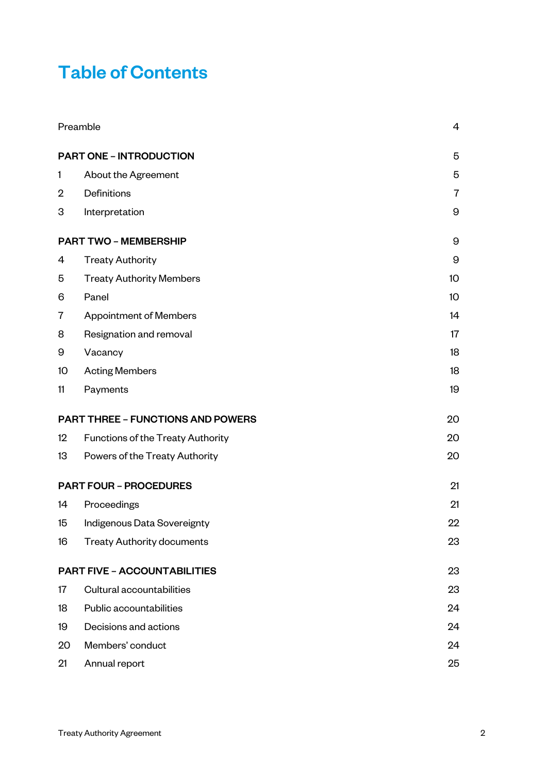### Table of Contents

|                               | Preamble                                 |                  |
|-------------------------------|------------------------------------------|------------------|
|                               | <b>PART ONE - INTRODUCTION</b>           | 5                |
| 1                             | About the Agreement                      | 5                |
| $\overline{2}$                | Definitions                              | $\overline{7}$   |
| 3                             | Interpretation                           | 9                |
|                               | <b>PART TWO - MEMBERSHIP</b>             | $\boldsymbol{9}$ |
| 4                             | <b>Treaty Authority</b>                  | 9                |
| 5                             | <b>Treaty Authority Members</b>          | 10 <sup>°</sup>  |
| 6                             | Panel                                    | 10               |
| $\overline{7}$                | <b>Appointment of Members</b>            | 14               |
| 8                             | Resignation and removal                  | 17               |
| 9                             | Vacancy                                  | 18               |
| 10 <sup>°</sup>               | <b>Acting Members</b>                    | 18               |
| 11                            | Payments                                 | 19               |
|                               | <b>PART THREE - FUNCTIONS AND POWERS</b> | 20               |
| 12                            | Functions of the Treaty Authority        | 20               |
| 13                            | Powers of the Treaty Authority           | 20               |
| <b>PART FOUR - PROCEDURES</b> |                                          | 21               |
| 14                            | Proceedings                              | 21               |
| 15                            | Indigenous Data Sovereignty              | 22               |
| 16                            | <b>Treaty Authority documents</b>        | 23               |
|                               | <b>PART FIVE - ACCOUNTABILITIES</b>      | 23               |
| 17                            | Cultural accountabilities                | 23               |
| 18                            | Public accountabilities                  | 24               |
| 19                            | Decisions and actions                    | 24               |
| 20                            | Members' conduct                         | 24               |
| 21                            | Annual report                            | 25               |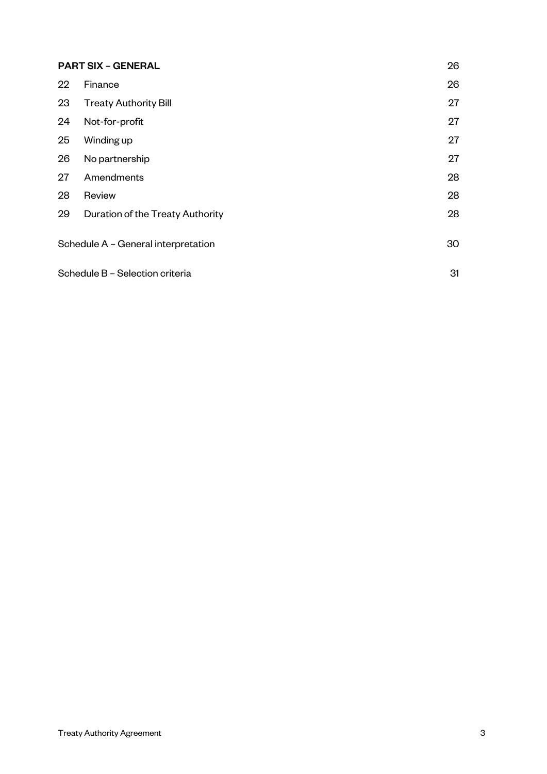| <b>PART SIX - GENERAL</b>           |                                  | 26 |
|-------------------------------------|----------------------------------|----|
| 22                                  | Finance                          | 26 |
| 23                                  | <b>Treaty Authority Bill</b>     | 27 |
| 24                                  | Not-for-profit                   | 27 |
| 25                                  | Winding up                       | 27 |
| 26                                  | No partnership                   | 27 |
| 27                                  | Amendments                       | 28 |
| 28                                  | Review                           | 28 |
| 29                                  | Duration of the Treaty Authority | 28 |
| Schedule A - General interpretation |                                  | 30 |
| Schedule B - Selection criteria     |                                  | 31 |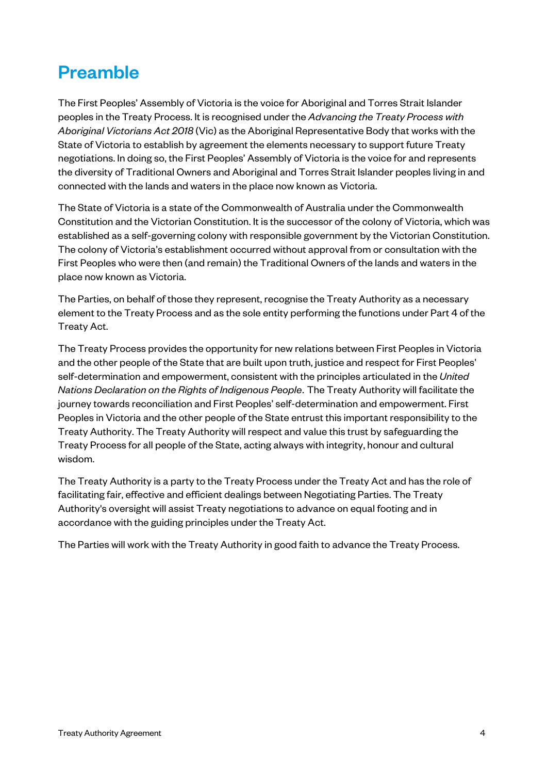### Preamble

The First Peoples' Assembly of Victoria is the voice for Aboriginal and Torres Strait Islander peoples in the Treaty Process. It is recognised under the *Advancing the Treaty Process with Aboriginal Victorians Act 2018* (Vic) as the Aboriginal Representative Body that works with the State of Victoria to establish by agreement the elements necessary to support future Treaty negotiations. In doing so, the First Peoples' Assembly of Victoria is the voice for and represents the diversity of Traditional Owners and Aboriginal and Torres Strait Islander peoples living in and connected with the lands and waters in the place now known as Victoria.

The State of Victoria is a state of the Commonwealth of Australia under the Commonwealth Constitution and the Victorian Constitution. It is the successor of the colony of Victoria, which was established as a self-governing colony with responsible government by the Victorian Constitution. The colony of Victoria's establishment occurred without approval from or consultation with the First Peoples who were then (and remain) the Traditional Owners of the lands and waters in the place now known as Victoria.

The Parties, on behalf of those they represent, recognise the Treaty Authority as a necessary element to the Treaty Process and as the sole entity performing the functions under Part 4 of the Treaty Act.

The Treaty Process provides the opportunity for new relations between First Peoples in Victoria and the other people of the State that are built upon truth, justice and respect for First Peoples' self-determination and empowerment, consistent with the principles articulated in the *United Nations Declaration on the Rights of Indigenous People.* The Treaty Authority will facilitate the journey towards reconciliation and First Peoples' self-determination and empowerment. First Peoples in Victoria and the other people of the State entrust this important responsibility to the Treaty Authority. The Treaty Authority will respect and value this trust by safeguarding the Treaty Process for all people of the State, acting always with integrity, honour and cultural wisdom.

The Treaty Authority is a party to the Treaty Process under the Treaty Act and has the role of facilitating fair, effective and efficient dealings between Negotiating Parties. The Treaty Authority's oversight will assist Treaty negotiations to advance on equal footing and in accordance with the guiding principles under the Treaty Act.

The Parties will work with the Treaty Authority in good faith to advance the Treaty Process.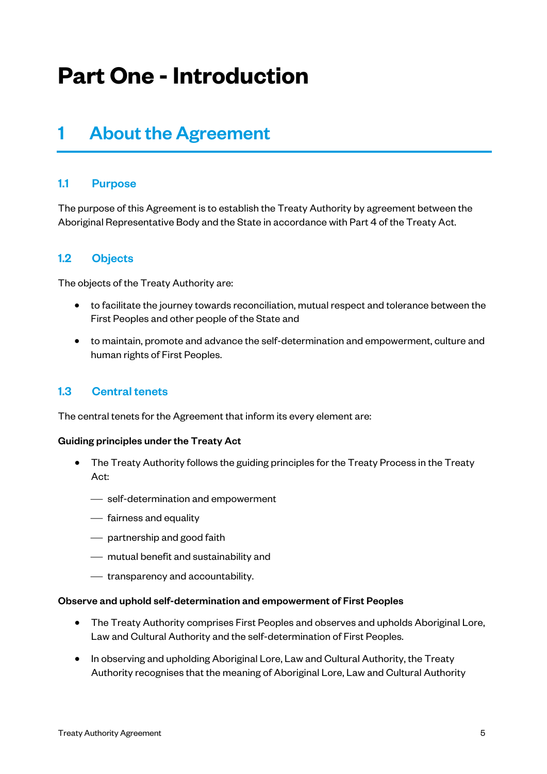# **Part One -Introduction**

### 1 About the Agreement

#### 1.1 Purpose

The purpose of this Agreement is to establish the Treaty Authority by agreement between the Aboriginal Representative Body and the State in accordance with Part 4 of the Treaty Act.

#### 1.2 Objects

The objects of the Treaty Authority are:

- to facilitate the journey towards reconciliation, mutual respect and tolerance between the First Peoples and other people of the State and
- to maintain, promote and advance the self-determination and empowerment, culture and human rights of First Peoples.

#### 1.3 Central tenets

The central tenets for the Agreement that inform its every element are:

#### Guiding principles under the Treaty Act

- The Treaty Authority follows the guiding principles for the Treaty Process in the Treaty Act:
	- ¾ self-determination and empowerment
	- $-$  fairness and equality
	- $\overline{\phantom{a}}$  partnership and good faith
	- ¾ mutual benefit and sustainability and
	- ¾ transparency and accountability.

#### Observe and uphold self-determination and empowerment of First Peoples

- The Treaty Authority comprises First Peoples and observes and upholds Aboriginal Lore, Law and Cultural Authority and the self-determination of First Peoples.
- In observing and upholding Aboriginal Lore, Law and Cultural Authority, the Treaty Authority recognises that the meaning of Aboriginal Lore, Law and Cultural Authority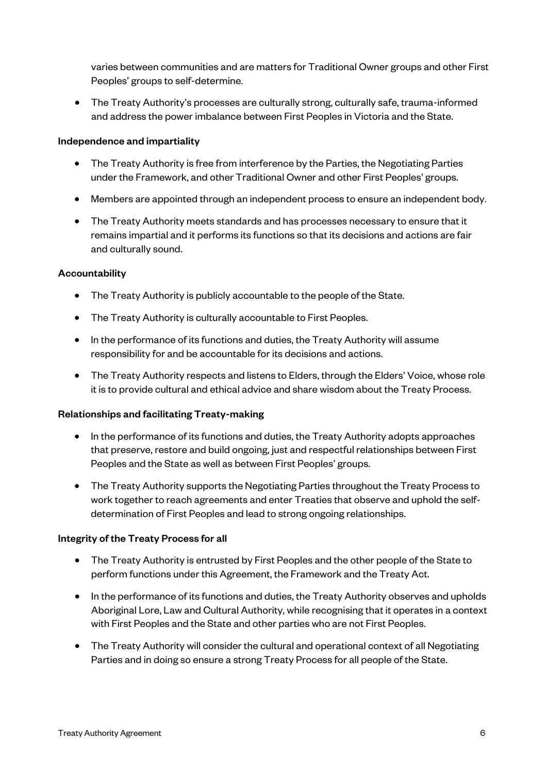varies between communities and are matters for Traditional Owner groups and other First Peoples' groups to self-determine.

• The Treaty Authority's processes are culturally strong, culturally safe, trauma-informed and address the power imbalance between First Peoples in Victoria and the State.

#### Independence and impartiality

- The Treaty Authority is free from interference by the Parties, the Negotiating Parties under the Framework, and other Traditional Owner and other First Peoples' groups.
- Members are appointed through an independent process to ensure an independent body.
- The Treaty Authority meets standards and has processes necessary to ensure that it remains impartial and it performs its functions so that its decisions and actions are fair and culturally sound.

#### **Accountability**

- The Treaty Authority is publicly accountable to the people of the State.
- The Treaty Authority is culturally accountable to First Peoples.
- In the performance of its functions and duties, the Treaty Authority will assume responsibility for and be accountable for its decisions and actions.
- The Treaty Authority respects and listens to Elders, through the Elders' Voice, whose role it is to provide cultural and ethical advice and share wisdom about the Treaty Process.

#### Relationships and facilitating Treaty-making

- In the performance of its functions and duties, the Treaty Authority adopts approaches that preserve, restore and build ongoing, just and respectful relationships between First Peoples and the State as well as between First Peoples' groups.
- The Treaty Authority supports the Negotiating Parties throughout the Treaty Process to work together to reach agreements and enter Treaties that observe and uphold the selfdetermination of First Peoples and lead to strong ongoing relationships.

#### Integrity of the Treaty Process for all

- The Treaty Authority is entrusted by First Peoples and the other people of the State to perform functions under this Agreement, the Framework and the Treaty Act.
- In the performance of its functions and duties, the Treaty Authority observes and upholds Aboriginal Lore, Law and Cultural Authority, while recognising that it operates in a context with First Peoples and the State and other parties who are not First Peoples.
- The Treaty Authority will consider the cultural and operational context of all Negotiating Parties and in doing so ensure a strong Treaty Process for all people of the State.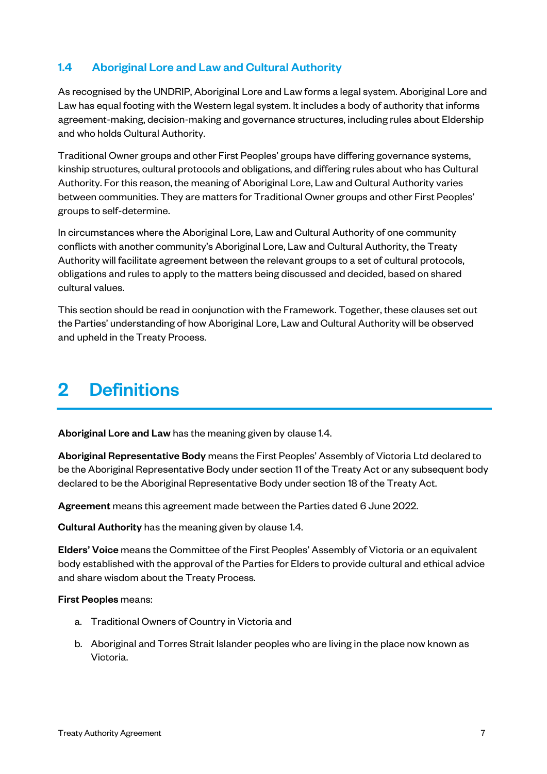#### 1.4 Aboriginal Lore and Law and Cultural Authority

As recognised by the UNDRIP, Aboriginal Lore and Law forms a legal system. Aboriginal Lore and Law has equal footing with the Western legal system. It includes a body of authority that informs agreement-making, decision-making and governance structures, including rules about Eldership and who holds Cultural Authority.

Traditional Owner groups and other First Peoples' groups have differing governance systems, kinship structures, cultural protocols and obligations, and differing rules about who has Cultural Authority. For this reason, the meaning of Aboriginal Lore, Law and Cultural Authority varies between communities. They are matters for Traditional Owner groups and other First Peoples' groups to self-determine.

In circumstances where the Aboriginal Lore, Law and Cultural Authority of one community conflicts with another community's Aboriginal Lore, Law and Cultural Authority, the Treaty Authority will facilitate agreement between the relevant groups to a set of cultural protocols, obligations and rules to apply to the matters being discussed and decided, based on shared cultural values.

This section should be read in conjunction with the Framework. Together, these clauses set out the Parties' understanding of how Aboriginal Lore, Law and Cultural Authority will be observed and upheld in the Treaty Process.

### 2 Definitions

Aboriginal Lore and Law has the meaning given by clause 1.4.

Aboriginal Representative Body means the First Peoples' Assembly of Victoria Ltd declared to be the Aboriginal Representative Body under section 11 of the Treaty Act or any subsequent body declared to be the Aboriginal Representative Body under section 18 of the Treaty Act.

Agreement means this agreement made between the Parties dated 6 June 2022.

Cultural Authority has the meaning given by clause 1.4.

Elders' Voice means the Committee of the First Peoples' Assembly of Victoria or an equivalent body established with the approval of the Parties for Elders to provide cultural and ethical advice and share wisdom about the Treaty Process.

#### First Peoples means:

- a. Traditional Owners of Country in Victoria and
- b. Aboriginal and Torres Strait Islander peoples who are living in the place now known as Victoria.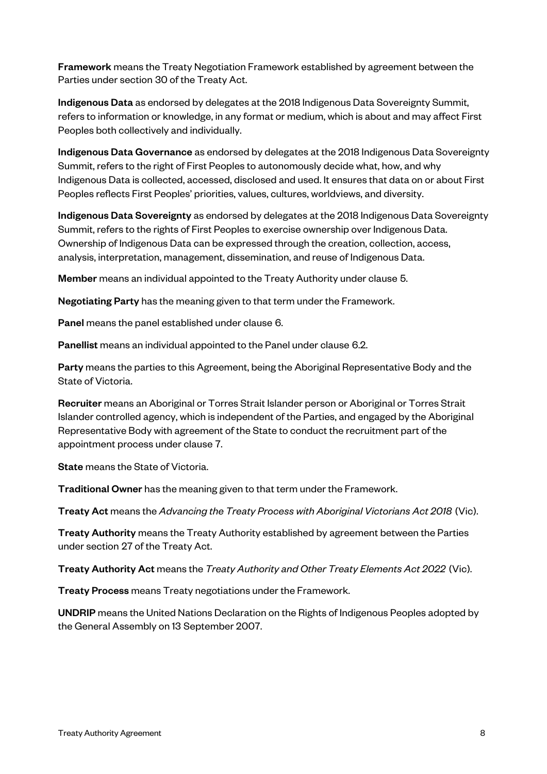**Framework** means the Treaty Negotiation Framework established by agreement between the Parties under section 30 of the Treaty Act.

Indigenous Data as endorsed by delegates at the 2018 Indigenous Data Sovereignty Summit, refers to information or knowledge, in any format or medium, which is about and may affect First Peoples both collectively and individually.

Indigenous Data Governance as endorsed by delegates at the 2018 Indigenous Data Sovereignty Summit, refers to the right of First Peoples to autonomously decide what, how, and why Indigenous Data is collected, accessed, disclosed and used. It ensures that data on or about First Peoples reflects First Peoples' priorities, values, cultures, worldviews, and diversity.

Indigenous Data Sovereignty as endorsed by delegates at the 2018 Indigenous Data Sovereignty Summit, refers to the rights of First Peoples to exercise ownership over Indigenous Data. Ownership of Indigenous Data can be expressed through the creation, collection, access, analysis, interpretation, management, dissemination, and reuse of Indigenous Data.

Member means an individual appointed to the Treaty Authority under clause 5.

Negotiating Party has the meaning given to that term under the Framework.

Panel means the panel established under clause 6.

Panellist means an individual appointed to the Panel under clause 6.2.

Party means the parties to this Agreement, being the Aboriginal Representative Body and the State of Victoria.

Recruiter means an Aboriginal or Torres Strait Islander person or Aboriginal or Torres Strait Islander controlled agency, which is independent of the Parties, and engaged by the Aboriginal Representative Body with agreement of the State to conduct the recruitment part of the appointment process under clause 7.

State means the State of Victoria.

Traditional Owner has the meaning given to that term under the Framework.

Treaty Act means the *Advancing the Treaty Process with Aboriginal Victorians Act 2018* (Vic).

**Treaty Authority** means the Treaty Authority established by agreement between the Parties under section 27 of the Treaty Act.

Treaty Authority Act means the *Treaty Authority and Other Treaty Elements Act 2022* (Vic).

Treaty Process means Treaty negotiations under the Framework.

UNDRIP means the United Nations Declaration on the Rights of Indigenous Peoples adopted by the General Assembly on 13 September 2007.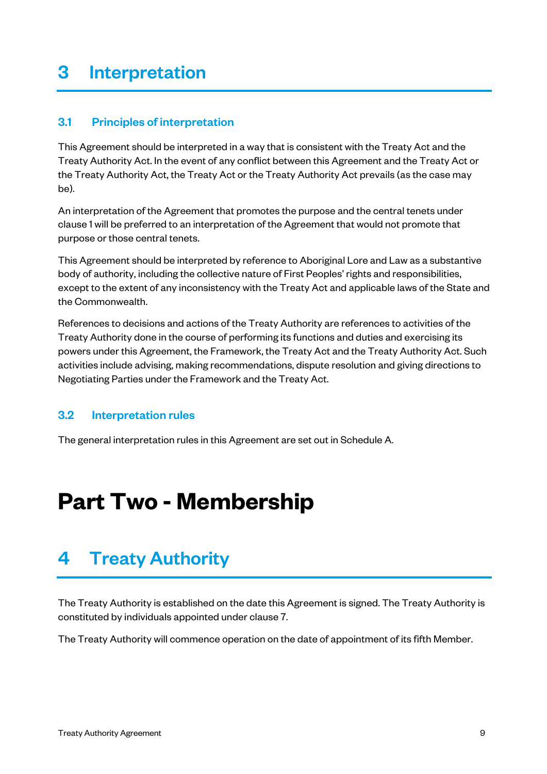### 3 Interpretation

#### 3.1 Principles of interpretation

This Agreement should be interpreted in a way that is consistent with the Treaty Act and the Treaty Authority Act. In the event of any conflict between this Agreement and the Treaty Act or the Treaty Authority Act, the Treaty Act or the Treaty Authority Act prevails (as the case may be).

An interpretation of the Agreement that promotes the purpose and the central tenets under clause 1 will be preferred to an interpretation of the Agreement that would not promote that purpose or those central tenets.

This Agreement should be interpreted by reference to Aboriginal Lore and Law as a substantive body of authority, including the collective nature of First Peoples' rights and responsibilities, except to the extent of any inconsistency with the Treaty Act and applicable laws of the State and the Commonwealth.

References to decisions and actions of the Treaty Authority are references to activities of the Treaty Authority done in the course of performing its functions and duties and exercising its powers under this Agreement, the Framework, the Treaty Act and the Treaty Authority Act. Such activities include advising, making recommendations, dispute resolution and giving directions to Negotiating Parties under the Framework and the Treaty Act.

#### 3.2 Interpretation rules

The general interpretation rules in this Agreement are set out in Schedule A.

## **Part Two - Membership**

### 4 Treaty Authority

The Treaty Authority is established on the date this Agreement is signed. The Treaty Authority is constituted by individuals appointed under clause 7.

The Treaty Authority will commence operation on the date of appointment of its fifth Member.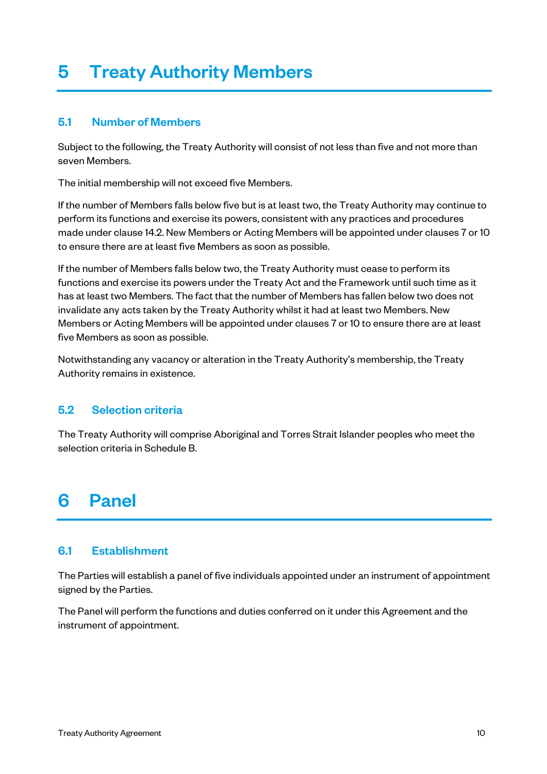### 5 Treaty Authority Members

#### 5.1 Number of Members

Subject to the following, the Treaty Authority will consist of not less than five and not more than seven Members.

The initial membership will not exceed five Members.

If the number of Members falls below five but is at least two, the Treaty Authority may continue to perform its functions and exercise its powers, consistent with any practices and procedures made under clause 14.2. New Members or Acting Members will be appointed under clauses 7 or 10 to ensure there are at least five Members as soon as possible.

If the number of Members falls below two, the Treaty Authority must cease to perform its functions and exercise its powers under the Treaty Act and the Framework until such time as it has at least two Members. The fact that the number of Members has fallen below two does not invalidate any acts taken by the Treaty Authority whilst it had at least two Members. New Members or Acting Members will be appointed under clauses 7 or 10 to ensure there are at least five Members as soon as possible.

Notwithstanding any vacancy or alteration in the Treaty Authority's membership, the Treaty Authority remains in existence.

#### 5.2 Selection criteria

The Treaty Authority will comprise Aboriginal and Torres Strait Islander peoples who meet the selection criteria in Schedule B.

### 6 Panel

#### 6.1 Establishment

The Parties will establish a panel of five individuals appointed under an instrument of appointment signed by the Parties.

The Panel will perform the functions and duties conferred on it under this Agreement and the instrument of appointment.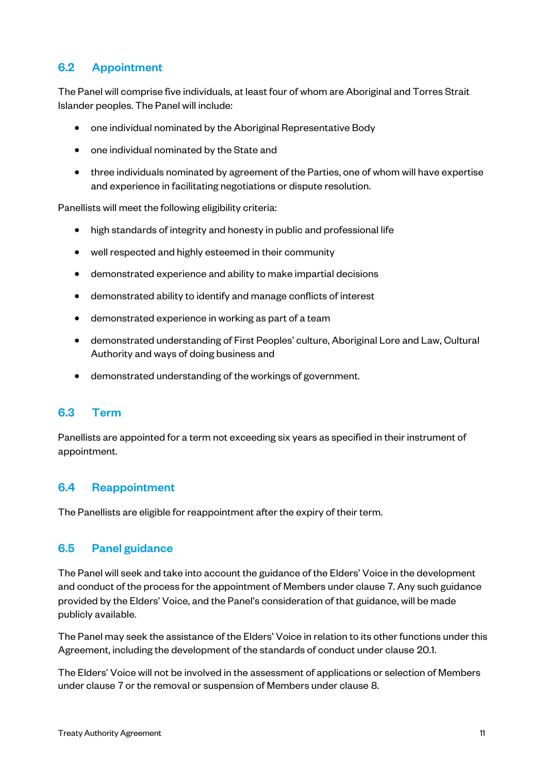#### 6.2 Appointment

The Panel will comprise five individuals, at least four of whom are Aboriginal and Torres Strait Islander peoples. The Panel will include:

- one individual nominated by the Aboriginal Representative Body
- one individual nominated by the State and
- three individuals nominated by agreement of the Parties, one of whom will have expertise and experience in facilitating negotiations or dispute resolution.

Panellists will meet the following eligibility criteria:

- high standards of integrity and honesty in public and professional life
- well respected and highly esteemed in their community
- demonstrated experience and ability to make impartial decisions
- demonstrated ability to identify and manage conflicts of interest
- demonstrated experience in working as part of a team
- demonstrated understanding of First Peoples' culture, Aboriginal Lore and Law, Cultural Authority and ways of doing business and
- demonstrated understanding of the workings of government.

#### 6.3 Term

Panellists are appointed for a term not exceeding six years as specified in their instrument of appointment.

#### 6.4 Reappointment

The Panellists are eligible for reappointment after the expiry of their term.

#### 6.5 Panel guidance

The Panel will seek and take into account the guidance of the Elders' Voice in the development and conduct of the process for the appointment of Members under clause 7. Any such guidance provided by the Elders' Voice, and the Panel's consideration of that guidance, will be made publicly available.

The Panel may seek the assistance of the Elders' Voice in relation to its other functions under this Agreement, including the development of the standards of conduct under clause 20.1.

The Elders' Voice will not be involved in the assessment of applications or selection of Members under clause 7 or the removal or suspension of Members under clause 8.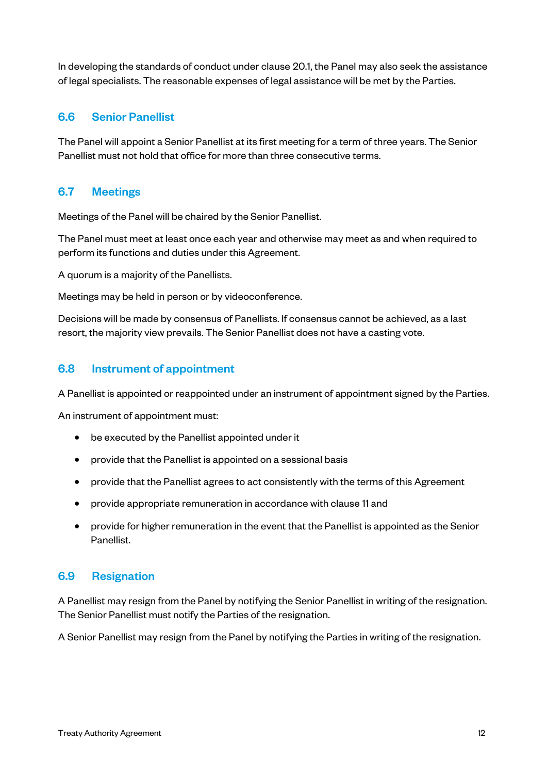In developing the standards of conduct under clause 20.1, the Panel may also seek the assistance of legal specialists. The reasonable expenses of legal assistance will be met by the Parties.

#### 6.6 Senior Panellist

The Panel will appoint a Senior Panellist at its first meeting for a term of three years. The Senior Panellist must not hold that office for more than three consecutive terms.

#### 6.7 Meetings

Meetings of the Panel will be chaired by the Senior Panellist.

The Panel must meet at least once each year and otherwise may meet as and when required to perform its functions and duties under this Agreement.

A quorum is a majority of the Panellists.

Meetings may be held in person or by videoconference.

Decisions will be made by consensus of Panellists. If consensus cannot be achieved, as a last resort, the majority view prevails. The Senior Panellist does not have a casting vote.

#### 6.8 Instrument of appointment

A Panellist is appointed or reappointed under an instrument of appointment signed by the Parties.

An instrument of appointment must:

- be executed by the Panellist appointed under it
- provide that the Panellist is appointed on a sessional basis
- provide that the Panellist agrees to act consistently with the terms of this Agreement
- provide appropriate remuneration in accordance with clause 11 and
- provide for higher remuneration in the event that the Panellist is appointed as the Senior Panellist.

#### 6.9 Resignation

A Panellist may resign from the Panel by notifying the Senior Panellist in writing of the resignation. The Senior Panellist must notify the Parties of the resignation.

A Senior Panellist may resign from the Panel by notifying the Parties in writing of the resignation.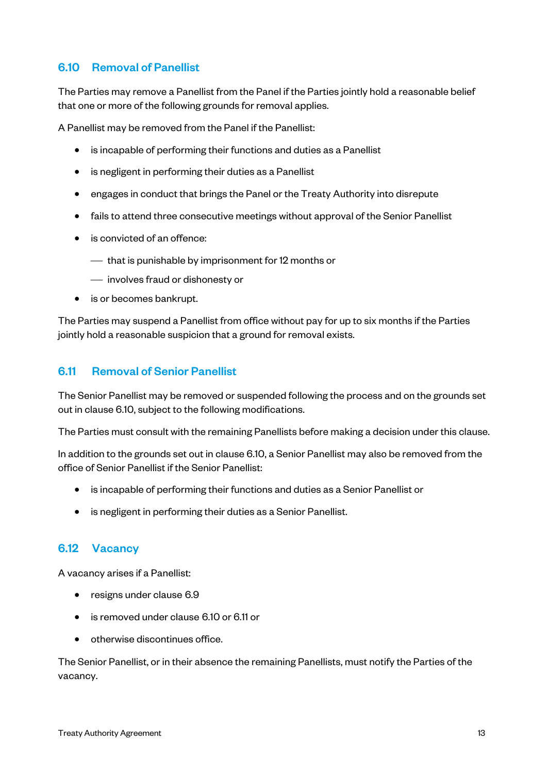#### 6.10 Removal of Panellist

The Parties may remove a Panellist from the Panel if the Parties jointly hold a reasonable belief that one or more of the following grounds for removal applies.

A Panellist may be removed from the Panel if the Panellist:

- is incapable of performing their functions and duties as a Panellist
- is negligent in performing their duties as a Panellist
- engages in conduct that brings the Panel or the Treaty Authority into disrepute
- fails to attend three consecutive meetings without approval of the Senior Panellist
- is convicted of an offence:
	- $\sim$  that is punishable by imprisonment for 12 months or
	- ¾ involves fraud or dishonesty or
- is or becomes bankrupt.

The Parties may suspend a Panellist from office without pay for up to six months if the Parties jointly hold a reasonable suspicion that a ground for removal exists.

#### 6.11 Removal of Senior Panellist

The Senior Panellist may be removed or suspended following the process and on the grounds set out in clause 6.10, subject to the following modifications.

The Parties must consult with the remaining Panellists before making a decision under this clause.

In addition to the grounds set out in clause 6.10, a Senior Panellist may also be removed from the office of Senior Panellist if the Senior Panellist:

- is incapable of performing their functions and duties as a Senior Panellist or
- is negligent in performing their duties as a Senior Panellist.

#### 6.12 Vacancy

A vacancy arises if a Panellist:

- resigns under clause 6.9
- is removed under clause 6.10 or 6.11 or
- otherwise discontinues office.

The Senior Panellist, or in their absence the remaining Panellists, must notify the Parties of the vacancy.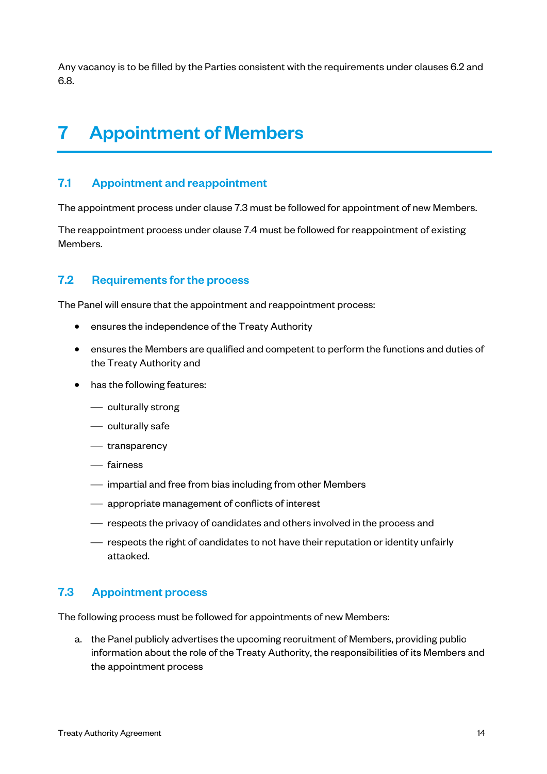Any vacancy is to be filled by the Parties consistent with the requirements under clauses 6.2 and 6.8.

### 7 Appointment of Members

#### 7.1 Appointment and reappointment

The appointment process under clause 7.3 must be followed for appointment of new Members.

The reappointment process under clause 7.4 must be followed for reappointment of existing Members.

#### 7.2 Requirements for the process

The Panel will ensure that the appointment and reappointment process:

- ensures the independence of the Treaty Authority
- ensures the Members are qualified and competent to perform the functions and duties of the Treaty Authority and
- has the following features:
	- $\equiv$  culturally strong
	- $-$  culturally safe
	- $-$  transparency
	- ¾ fairness
	- ¾ impartial and free from bias including from other Members
	- appropriate management of conflicts of interest
	- ¾ respects the privacy of candidates and others involved in the process and
	- ¾ respects the right of candidates to not have their reputation or identity unfairly attacked.

#### 7.3 Appointment process

The following process must be followed for appointments of new Members:

a. the Panel publicly advertises the upcoming recruitment of Members, providing public information about the role of the Treaty Authority, the responsibilities of its Members and the appointment process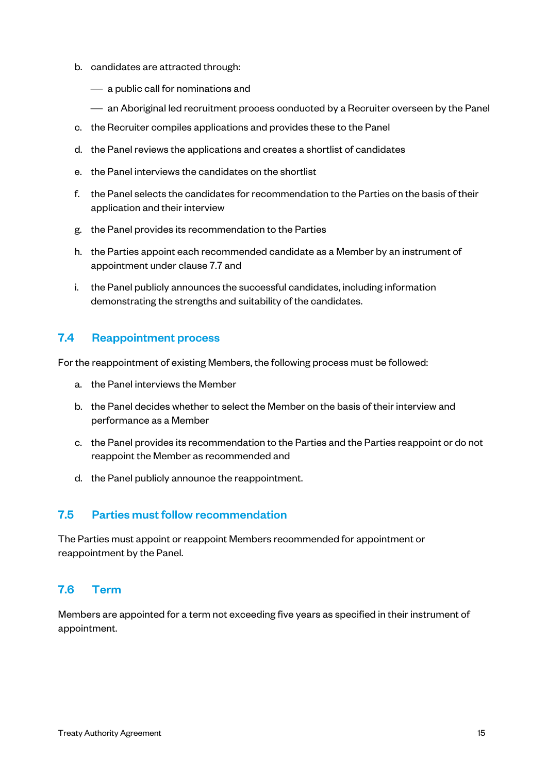- b. candidates are attracted through:
	- $\overline{\phantom{a}}$  a public call for nominations and
	- ¾ an Aboriginal led recruitment process conducted by a Recruiter overseen by the Panel
- c. the Recruiter compiles applications and provides these to the Panel
- d. the Panel reviews the applications and creates a shortlist of candidates
- e. the Panel interviews the candidates on the shortlist
- f. the Panel selects the candidates for recommendation to the Parties on the basis of their application and their interview
- g. the Panel provides its recommendation to the Parties
- h. the Parties appoint each recommended candidate as a Member by an instrument of appointment under clause 7.7 and
- i. the Panel publicly announces the successful candidates, including information demonstrating the strengths and suitability of the candidates.

#### 7.4 Reappointment process

For the reappointment of existing Members, the following process must be followed:

- a. the Panel interviews the Member
- b. the Panel decides whether to select the Member on the basis of their interview and performance as a Member
- c. the Panel provides its recommendation to the Parties and the Parties reappoint or do not reappoint the Member as recommended and
- d. the Panel publicly announce the reappointment.

#### 7.5 Parties must follow recommendation

The Parties must appoint or reappoint Members recommended for appointment or reappointment by the Panel.

#### 7.6 Term

Members are appointed for a term not exceeding five years as specified in their instrument of appointment.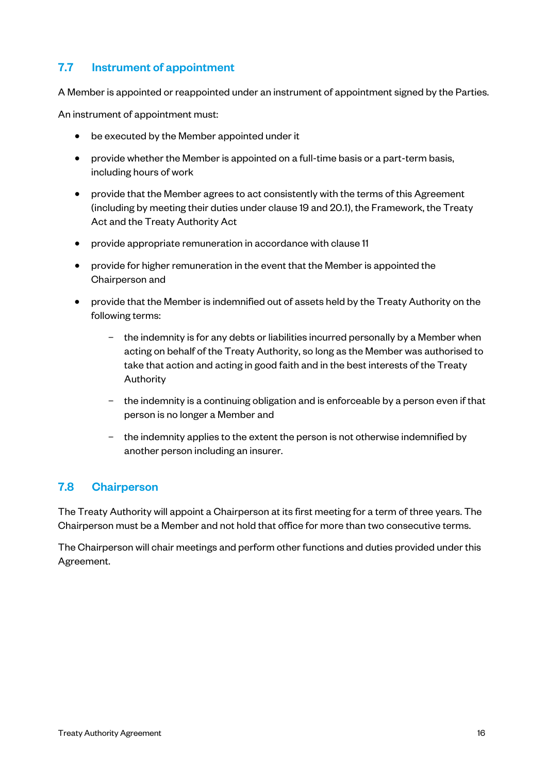#### 7.7 Instrument of appointment

A Member is appointed or reappointed under an instrument of appointment signed by the Parties.

An instrument of appointment must:

- be executed by the Member appointed under it
- provide whether the Member is appointed on a full-time basis or a part-term basis, including hours of work
- provide that the Member agrees to act consistently with the terms of this Agreement (including by meeting their duties under clause 19 and 20.1), the Framework, the Treaty Act and the Treaty Authority Act
- provide appropriate remuneration in accordance with clause 11
- provide for higher remuneration in the event that the Member is appointed the Chairperson and
- provide that the Member is indemnified out of assets held by the Treaty Authority on the following terms:
	- the indemnity is for any debts or liabilities incurred personally by a Member when acting on behalf of the Treaty Authority, so long as the Member was authorised to take that action and acting in good faith and in the best interests of the Treaty Authority
	- the indemnity is a continuing obligation and is enforceable by a person even if that person is no longer a Member and
	- the indemnity applies to the extent the person is not otherwise indemnified by another person including an insurer.

#### 7.8 Chairperson

The Treaty Authority will appoint a Chairperson at its first meeting for a term of three years. The Chairperson must be a Member and not hold that office for more than two consecutive terms.

The Chairperson will chair meetings and perform other functions and duties provided under this Agreement.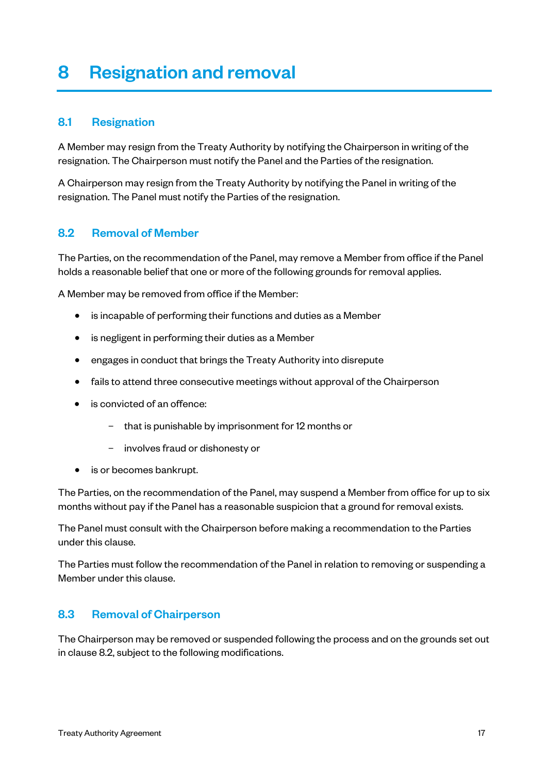### 8 Resignation and removal

#### 8.1 Resignation

A Member may resign from the Treaty Authority by notifying the Chairperson in writing of the resignation. The Chairperson must notify the Panel and the Parties of the resignation.

A Chairperson may resign from the Treaty Authority by notifying the Panel in writing of the resignation. The Panel must notify the Parties of the resignation.

#### 8.2 Removal of Member

The Parties, on the recommendation of the Panel, may remove a Member from office if the Panel holds a reasonable belief that one or more of the following grounds for removal applies.

A Member may be removed from office if the Member:

- is incapable of performing their functions and duties as a Member
- is negligent in performing their duties as a Member
- engages in conduct that brings the Treaty Authority into disrepute
- fails to attend three consecutive meetings without approval of the Chairperson
- is convicted of an offence:
	- that is punishable by imprisonment for 12 months or
	- involves fraud or dishonesty or
- is or becomes bankrupt.

The Parties, on the recommendation of the Panel, may suspend a Member from office for up to six months without pay if the Panel has a reasonable suspicion that a ground for removal exists.

The Panel must consult with the Chairperson before making a recommendation to the Parties under this clause.

The Parties must follow the recommendation of the Panel in relation to removing or suspending a Member under this clause.

#### 8.3 Removal of Chairperson

The Chairperson may be removed or suspended following the process and on the grounds set out in clause 8.2, subject to the following modifications.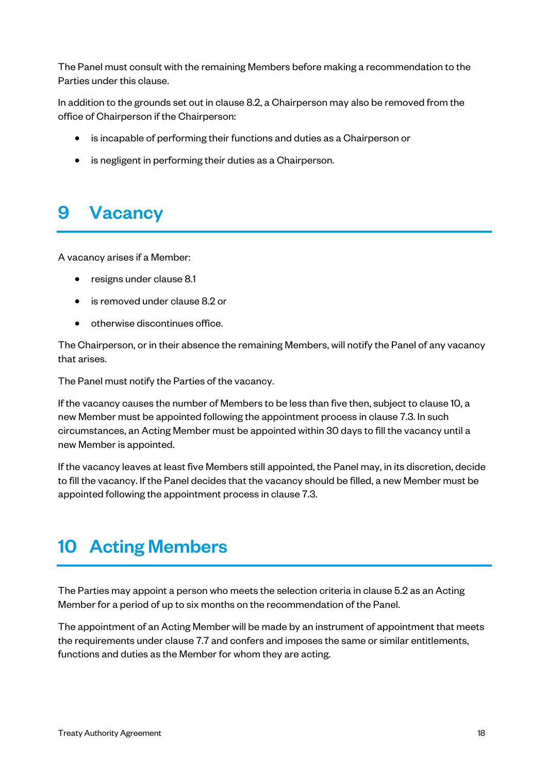The Panel must consult with the remaining Members before making a recommendation to the Parties under this clause.

In addition to the grounds set out in clause 8.2, a Chairperson may also be removed from the office of Chairperson if the Chairperson:

- is incapable of performing their functions and duties as a Chairperson or
- is negligent in performing their duties as a Chairperson.

### 9 Vacancy

A vacancy arises if a Member:

- resigns under clause 8.1
- is removed under clause 8.2 or
- otherwise discontinues office.

The Chairperson, or in their absence the remaining Members, will notify the Panel of any vacancy that arises.

The Panel must notify the Parties of the vacancy.

If the vacancy causes the number of Members to be less than five then, subject to clause 10, a new Member must be appointed following the appointment process in clause 7.3. In such circumstances, an Acting Member must be appointed within 30 days to fill the vacancy until a new Member is appointed.

If the vacancy leaves at least five Members still appointed, the Panel may, in its discretion, decide to fill the vacancy. If the Panel decides that the vacancy should be filled, a new Member must be appointed following the appointment process in clause 7.3.

### 10 Acting Members

The Parties may appoint a person who meets the selection criteria in clause 5.2 as an Acting Member for a period of up to six months on the recommendation of the Panel.

The appointment of an Acting Member will be made by an instrument of appointment that meets the requirements under clause 7.7 and confers and imposes the same or similar entitlements, functions and duties as the Member for whom they are acting.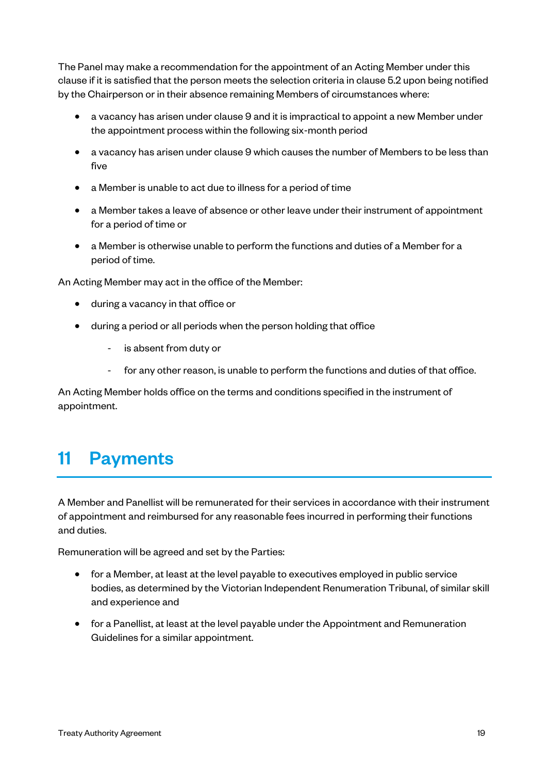The Panel may make a recommendation for the appointment of an Acting Member under this clause if it is satisfied that the person meets the selection criteria in clause 5.2 upon being notified by the Chairperson or in their absence remaining Members of circumstances where:

- a vacancy has arisen under clause 9 and it is impractical to appoint a new Member under the appointment process within the following six-month period
- a vacancy has arisen under clause 9 which causes the number of Members to be less than five
- a Member is unable to act due to illness for a period of time
- a Member takes a leave of absence or other leave under their instrument of appointment for a period of time or
- a Member is otherwise unable to perform the functions and duties of a Member for a period of time.

An Acting Member may act in the office of the Member:

- during a vacancy in that office or
- during a period or all periods when the person holding that office
	- is absent from duty or
	- for any other reason, is unable to perform the functions and duties of that office.

An Acting Member holds office on the terms and conditions specified in the instrument of appointment.

### 11 Payments

A Member and Panellist will be remunerated for their services in accordance with their instrument of appointment and reimbursed for any reasonable fees incurred in performing their functions and duties.

Remuneration will be agreed and set by the Parties:

- for a Member, at least at the level payable to executives employed in public service bodies, as determined by the Victorian Independent Renumeration Tribunal, of similar skill and experience and
- for a Panellist, at least at the level payable under the Appointment and Remuneration Guidelines for a similar appointment.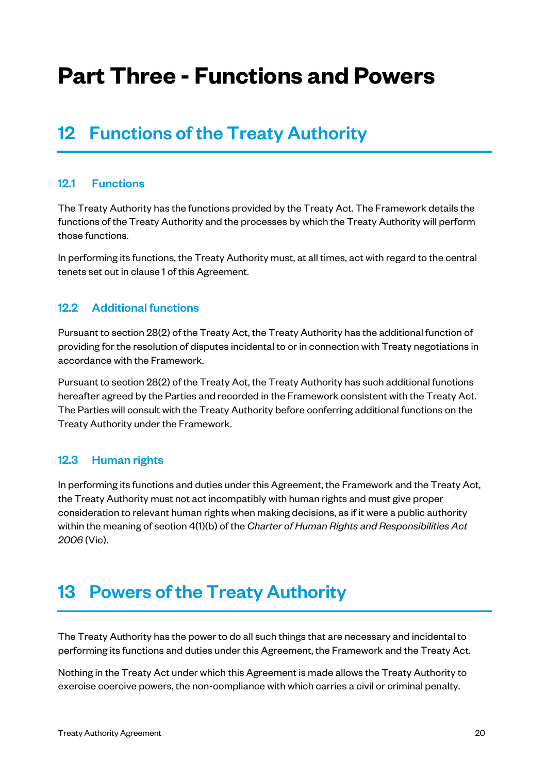# **Part Three - Functions and Powers**

### 12 Functions of the Treaty Authority

#### 12.1 Functions

The Treaty Authority has the functions provided by the Treaty Act. The Framework details the functions of the Treaty Authority and the processes by which the Treaty Authority will perform those functions.

In performing its functions, the Treaty Authority must, at all times, act with regard to the central tenets set out in clause 1 of this Agreement.

#### 12.2 Additional functions

Pursuant to section 28(2) of the Treaty Act, the Treaty Authority has the additional function of providing for the resolution of disputes incidental to or in connection with Treaty negotiations in accordance with the Framework.

Pursuant to section 28(2) of the Treaty Act, the Treaty Authority has such additional functions hereafter agreed by the Parties and recorded in the Framework consistent with the Treaty Act. The Parties will consult with the Treaty Authority before conferring additional functions on the Treaty Authority under the Framework.

#### 12.3 Human rights

In performing its functions and duties under this Agreement, the Framework and the Treaty Act, the Treaty Authority must not act incompatibly with human rights and must give proper consideration to relevant human rights when making decisions, as if it were a public authority within the meaning of section 4(1)(b) of the *Charter of Human Rights and Responsibilities Act 2006* (Vic).

### 13 Powers of the Treaty Authority

The Treaty Authority has the power to do all such things that are necessary and incidental to performing its functions and duties under this Agreement, the Framework and the Treaty Act.

Nothing in the Treaty Act under which this Agreement is made allows the Treaty Authority to exercise coercive powers, the non-compliance with which carries a civil or criminal penalty.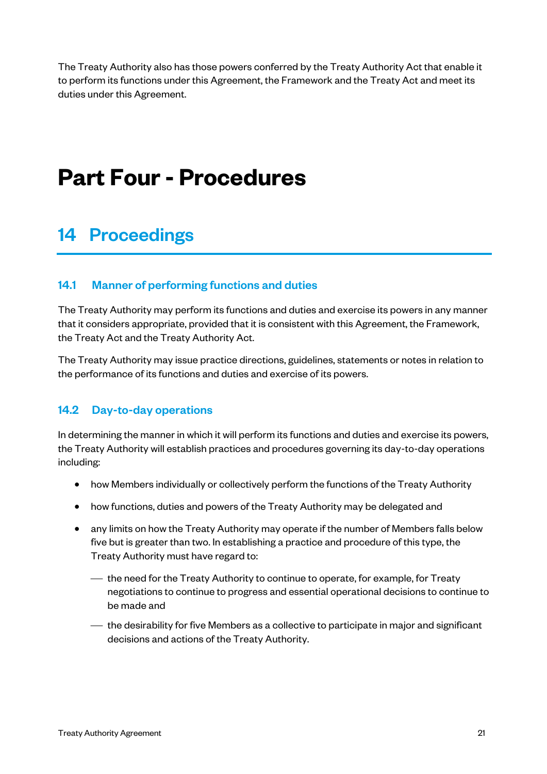The Treaty Authority also has those powers conferred by the Treaty Authority Act that enable it to perform its functions under this Agreement, the Framework and the Treaty Act and meet its duties under this Agreement.

# **Part Four - Procedures**

### 14 Proceedings

#### 14.1 Manner of performing functions and duties

The Treaty Authority may perform its functions and duties and exercise its powers in any manner that it considers appropriate, provided that it is consistent with this Agreement, the Framework, the Treaty Act and the Treaty Authority Act.

The Treaty Authority may issue practice directions, guidelines, statements or notes in relation to the performance of its functions and duties and exercise of its powers.

#### 14.2 Day-to-day operations

In determining the manner in which it will perform its functions and duties and exercise its powers, the Treaty Authority will establish practices and procedures governing its day-to-day operations including:

- how Members individually or collectively perform the functions of the Treaty Authority
- how functions, duties and powers of the Treaty Authority may be delegated and
- any limits on how the Treaty Authority may operate if the number of Members falls below five but is greater than two. In establishing a practice and procedure of this type, the Treaty Authority must have regard to:
	- ¾ the need for the Treaty Authority to continue to operate, for example, for Treaty negotiations to continue to progress and essential operational decisions to continue to be made and
	- ¾ the desirability for five Members as a collective to participate in major and significant decisions and actions of the Treaty Authority.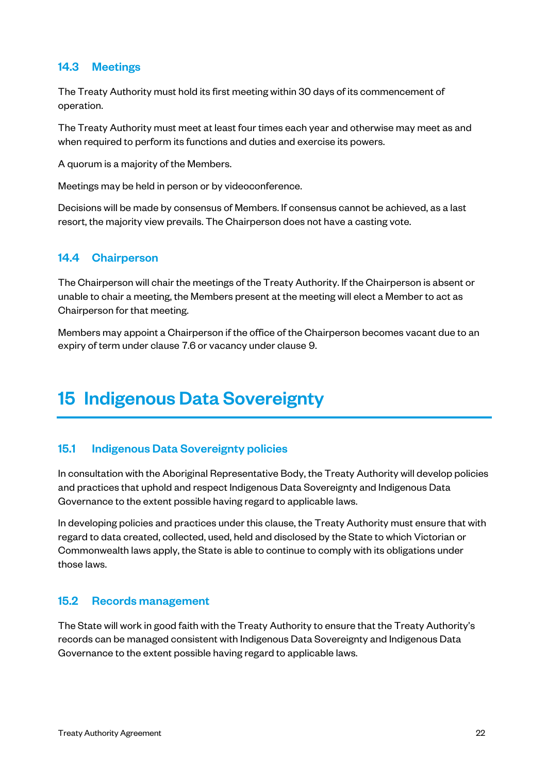#### 14.3 Meetings

The Treaty Authority must hold its first meeting within 30 days of its commencement of operation.

The Treaty Authority must meet at least four times each year and otherwise may meet as and when required to perform its functions and duties and exercise its powers.

A quorum is a majority of the Members.

Meetings may be held in person or by videoconference.

Decisions will be made by consensus of Members. If consensus cannot be achieved, as a last resort, the majority view prevails. The Chairperson does not have a casting vote.

#### 14.4 Chairperson

The Chairperson will chair the meetings of the Treaty Authority. If the Chairperson is absent or unable to chair a meeting, the Members present at the meeting will elect a Member to act as Chairperson for that meeting.

Members may appoint a Chairperson if the office of the Chairperson becomes vacant due to an expiry of term under clause 7.6 or vacancy under clause 9.

### 15 Indigenous Data Sovereignty

#### 15.1 Indigenous Data Sovereignty policies

In consultation with the Aboriginal Representative Body, the Treaty Authority will develop policies and practices that uphold and respect Indigenous Data Sovereignty and Indigenous Data Governance to the extent possible having regard to applicable laws.

In developing policies and practices under this clause, the Treaty Authority must ensure that with regard to data created, collected, used, held and disclosed by the State to which Victorian or Commonwealth laws apply, the State is able to continue to comply with its obligations under those laws.

#### 15.2 Records management

The State will work in good faith with the Treaty Authority to ensure that the Treaty Authority's records can be managed consistent with Indigenous Data Sovereignty and Indigenous Data Governance to the extent possible having regard to applicable laws.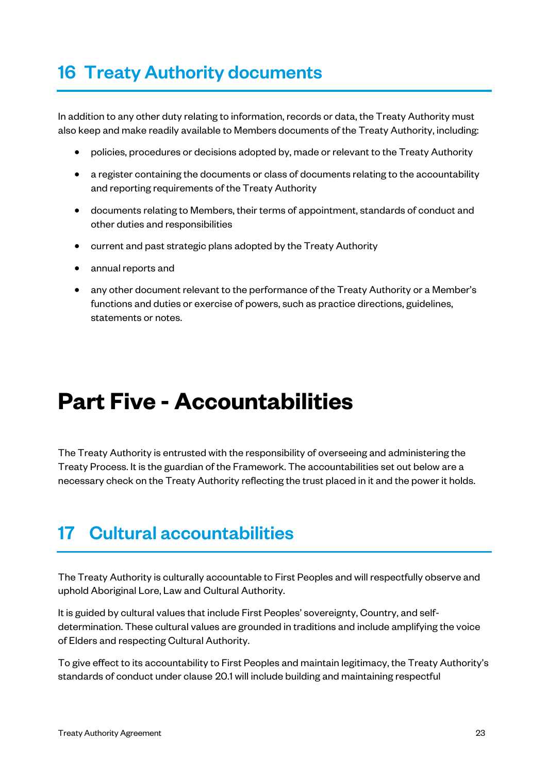### 16 Treaty Authority documents

In addition to any other duty relating to information, records or data, the Treaty Authority must also keep and make readily available to Members documents of the Treaty Authority, including:

- policies, procedures or decisions adopted by, made or relevant to the Treaty Authority
- a register containing the documents or class of documents relating to the accountability and reporting requirements of the Treaty Authority
- documents relating to Members, their terms of appointment, standards of conduct and other duties and responsibilities
- current and past strategic plans adopted by the Treaty Authority
- annual reports and
- any other document relevant to the performance of the Treaty Authority or a Member's functions and duties or exercise of powers, such as practice directions, guidelines, statements or notes.

# **Part Five - Accountabilities**

The Treaty Authority is entrusted with the responsibility of overseeing and administering the Treaty Process. It is the guardian of the Framework. The accountabilities set out below are a necessary check on the Treaty Authority reflecting the trust placed in it and the power it holds.

### 17 Cultural accountabilities

The Treaty Authority is culturally accountable to First Peoples and will respectfully observe and uphold Aboriginal Lore, Law and Cultural Authority.

It is guided by cultural values that include First Peoples' sovereignty, Country, and selfdetermination. These cultural values are grounded in traditions and include amplifying the voice of Elders and respecting Cultural Authority.

To give effect to its accountability to First Peoples and maintain legitimacy, the Treaty Authority's standards of conduct under clause 20.1 will include building and maintaining respectful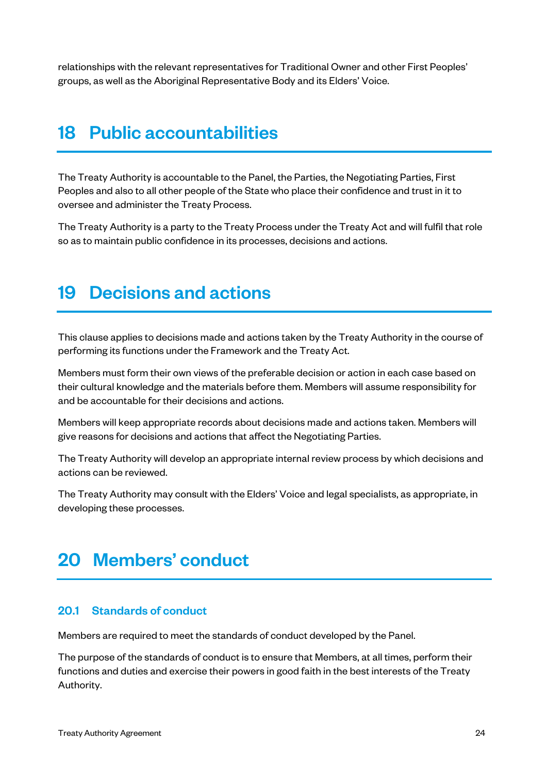relationships with the relevant representatives for Traditional Owner and other First Peoples' groups, as well as the Aboriginal Representative Body and its Elders' Voice.

### 18 Public accountabilities

The Treaty Authority is accountable to the Panel, the Parties, the Negotiating Parties, First Peoples and also to all other people of the State who place their confidence and trust in it to oversee and administer the Treaty Process.

The Treaty Authority is a party to the Treaty Process under the Treaty Act and will fulfil that role so as to maintain public confidence in its processes, decisions and actions.

### 19 Decisions and actions

This clause applies to decisions made and actions taken by the Treaty Authority in the course of performing its functions under the Framework and the Treaty Act.

Members must form their own views of the preferable decision or action in each case based on their cultural knowledge and the materials before them. Members will assume responsibility for and be accountable for their decisions and actions.

Members will keep appropriate records about decisions made and actions taken. Members will give reasons for decisions and actions that affect the Negotiating Parties.

The Treaty Authority will develop an appropriate internal review process by which decisions and actions can be reviewed.

The Treaty Authority may consult with the Elders' Voice and legal specialists, as appropriate, in developing these processes.

### 20 Members' conduct

#### 20.1 Standards of conduct

Members are required to meet the standards of conduct developed by the Panel.

The purpose of the standards of conduct is to ensure that Members, at all times, perform their functions and duties and exercise their powers in good faith in the best interests of the Treaty Authority.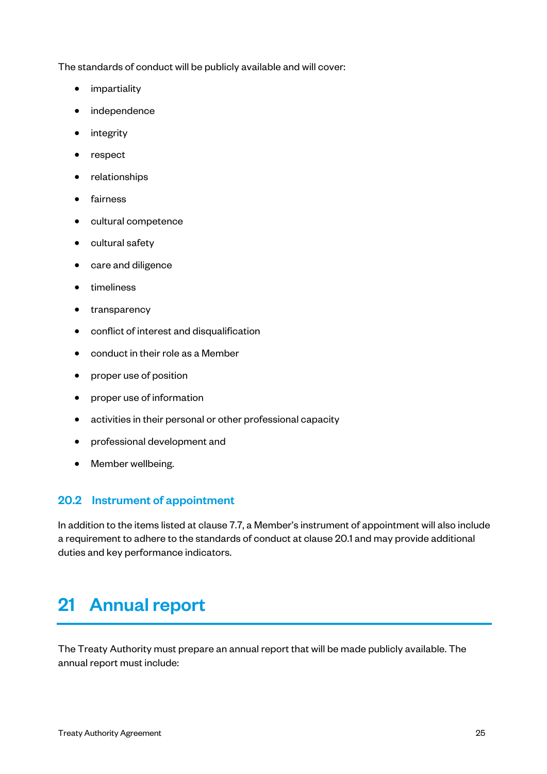The standards of conduct will be publicly available and will cover:

- impartiality
- independence
- **integrity**
- respect
- relationships
- fairness
- cultural competence
- cultural safety
- care and diligence
- timeliness
- transparency
- conflict of interest and disqualification
- conduct in their role as a Member
- proper use of position
- proper use of information
- activities in their personal or other professional capacity
- professional development and
- Member wellbeing.

#### 20.2 Instrument of appointment

In addition to the items listed at clause 7.7, a Member's instrument of appointment will also include a requirement to adhere to the standards of conduct at clause 20.1 and may provide additional duties and key performance indicators.

### 21 Annual report

The Treaty Authority must prepare an annual report that will be made publicly available. The annual report must include: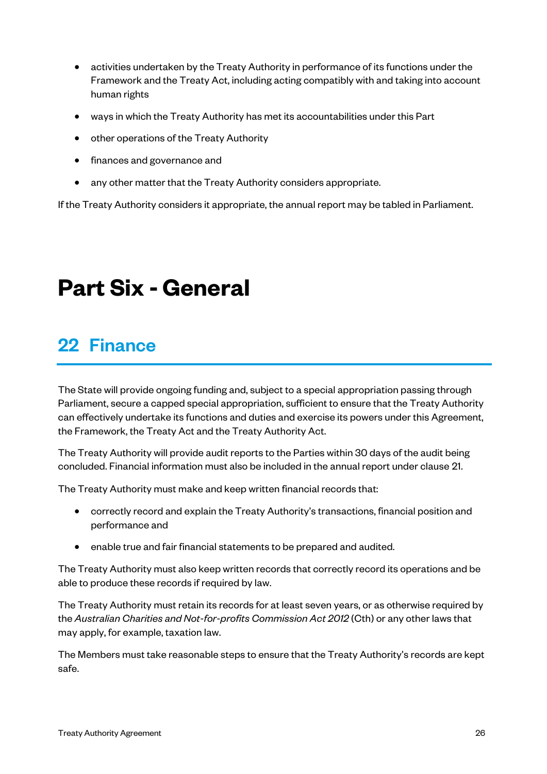- activities undertaken by the Treaty Authority in performance of its functions under the Framework and the Treaty Act, including acting compatibly with and taking into account human rights
- ways in which the Treaty Authority has met its accountabilities under this Part
- other operations of the Treaty Authority
- finances and governance and
- any other matter that the Treaty Authority considers appropriate.

If the Treaty Authority considers it appropriate, the annual report may be tabled in Parliament.

# **Part Six - General**

### 22 Finance

The State will provide ongoing funding and, subject to a special appropriation passing through Parliament, secure a capped special appropriation, sufficient to ensure that the Treaty Authority can effectively undertake its functions and duties and exercise its powers under this Agreement, the Framework, the Treaty Act and the Treaty Authority Act.

The Treaty Authority will provide audit reports to the Parties within 30 days of the audit being concluded. Financial information must also be included in the annual report under clause 21.

The Treaty Authority must make and keep written financial records that:

- correctly record and explain the Treaty Authority's transactions, financial position and performance and
- enable true and fair financial statements to be prepared and audited.

The Treaty Authority must also keep written records that correctly record its operations and be able to produce these records if required by law.

The Treaty Authority must retain its records for at least seven years, or as otherwise required by the *Australian Charities and Not-for-profits Commission Act 2012* (Cth) or any other laws that may apply, for example, taxation law.

The Members must take reasonable steps to ensure that the Treaty Authority's records are kept safe.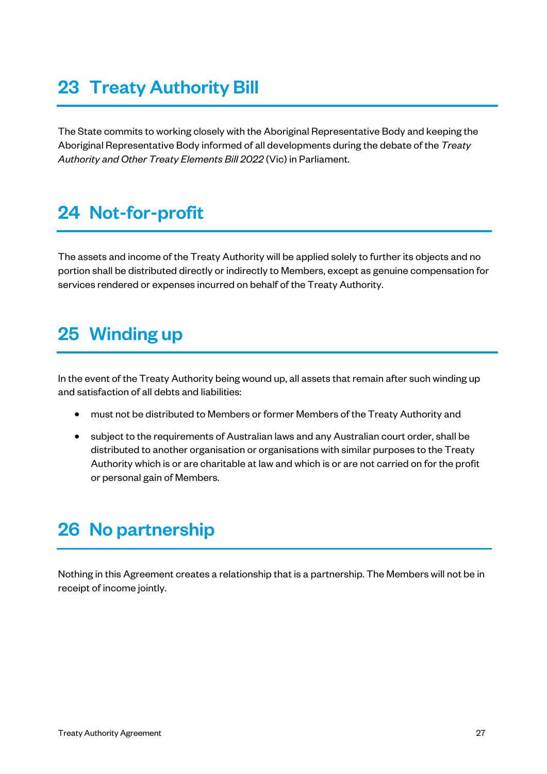### 23 Treaty Authority Bill

The State commits to working closely with the Aboriginal Representative Body and keeping the Aboriginal Representative Body informed of all developments during the debate of the *Treaty Authority and Other Treaty Elements Bill 2022* (Vic) in Parliament.

### 24 Not-for-profit

The assets and income of the Treaty Authority will be applied solely to further its objects and no portion shall be distributed directly or indirectly to Members, except as genuine compensation for services rendered or expenses incurred on behalf of the Treaty Authority.

### 25 Winding up

In the event of the Treaty Authority being wound up, all assets that remain after such winding up and satisfaction of all debts and liabilities:

- must not be distributed to Members or former Members of the Treaty Authority and
- subject to the requirements of Australian laws and any Australian court order, shall be distributed to another organisation or organisations with similar purposes to the Treaty Authority which is or are charitable at law and which is or are not carried on for the profit or personal gain of Members.

### 26 No partnership

Nothing in this Agreement creates a relationship that is a partnership. The Members will not be in receipt of income jointly.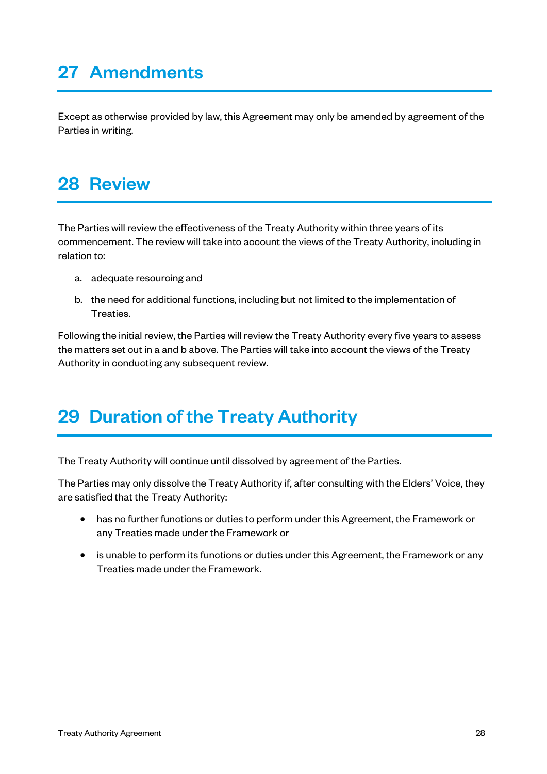### 27 Amendments

Except as otherwise provided by law, this Agreement may only be amended by agreement of the Parties in writing.

### 28 Review

The Parties will review the effectiveness of the Treaty Authority within three years of its commencement. The review will take into account the views of the Treaty Authority, including in relation to:

- a. adequate resourcing and
- b. the need for additional functions, including but not limited to the implementation of Treaties.

Following the initial review, the Parties will review the Treaty Authority every five years to assess the matters set out in a and b above. The Parties will take into account the views of the Treaty Authority in conducting any subsequent review.

### 29 Duration of the Treaty Authority

The Treaty Authority will continue until dissolved by agreement of the Parties.

The Parties may only dissolve the Treaty Authority if, after consulting with the Elders' Voice, they are satisfied that the Treaty Authority:

- has no further functions or duties to perform under this Agreement, the Framework or any Treaties made under the Framework or
- is unable to perform its functions or duties under this Agreement, the Framework or any Treaties made under the Framework.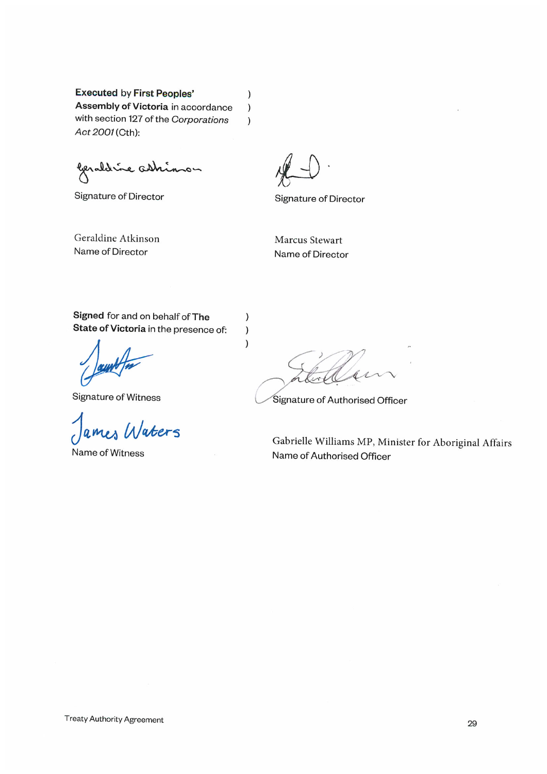**Executed by First Peoples'** Assembly of Victoria in accordance with section 127 of the Corporations Act 2001 (Cth):

lerald i e ash inon

Signature of Director

 $\,$ 

 $\mathcal{E}$ 

 $\lambda$ 

 $\,$ 

 $\mathcal{E}$  $\lambda$ 

**Signature of Director** 

Geraldine Atkinson Name of Director

Marcus Stewart Name of Director

Signed for and on behalf of The State of Victoria in the presence of:

Signature of Witness

ames Waters

Name of Witness

 $\sim$ 

Signature of Authorised Officer

Gabrielle Williams MP, Minister for Aboriginal Affairs Name of Authorised Officer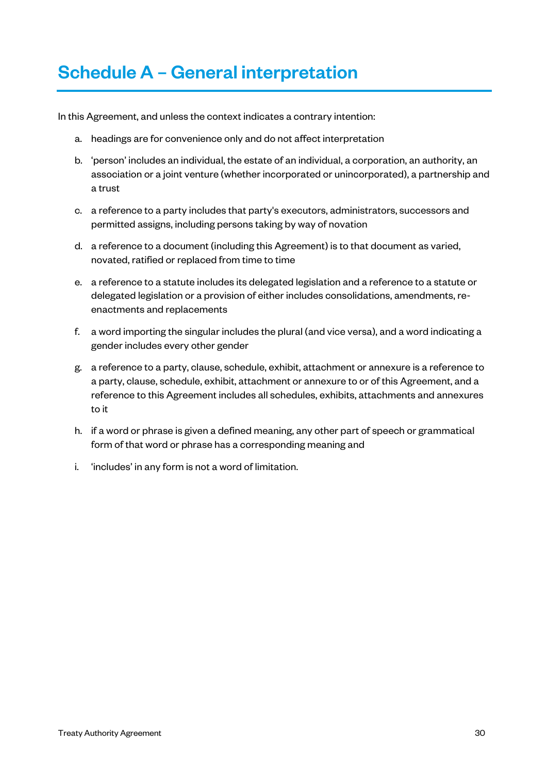### Schedule A – General interpretation

In this Agreement, and unless the context indicates a contrary intention:

- a. headings are for convenience only and do not affect interpretation
- b. 'person' includes an individual, the estate of an individual, a corporation, an authority, an association or a joint venture (whether incorporated or unincorporated), a partnership and a trust
- c. a reference to a party includes that party's executors, administrators, successors and permitted assigns, including persons taking by way of novation
- d. a reference to a document (including this Agreement) is to that document as varied, novated, ratified or replaced from time to time
- e. a reference to a statute includes its delegated legislation and a reference to a statute or delegated legislation or a provision of either includes consolidations, amendments, reenactments and replacements
- f. a word importing the singular includes the plural (and vice versa), and a word indicating a gender includes every other gender
- g. a reference to a party, clause, schedule, exhibit, attachment or annexure is a reference to a party, clause, schedule, exhibit, attachment or annexure to or of this Agreement, and a reference to this Agreement includes all schedules, exhibits, attachments and annexures to it
- h. if a word or phrase is given a defined meaning, any other part of speech or grammatical form of that word or phrase has a corresponding meaning and
- i. 'includes' in any form is not a word of limitation.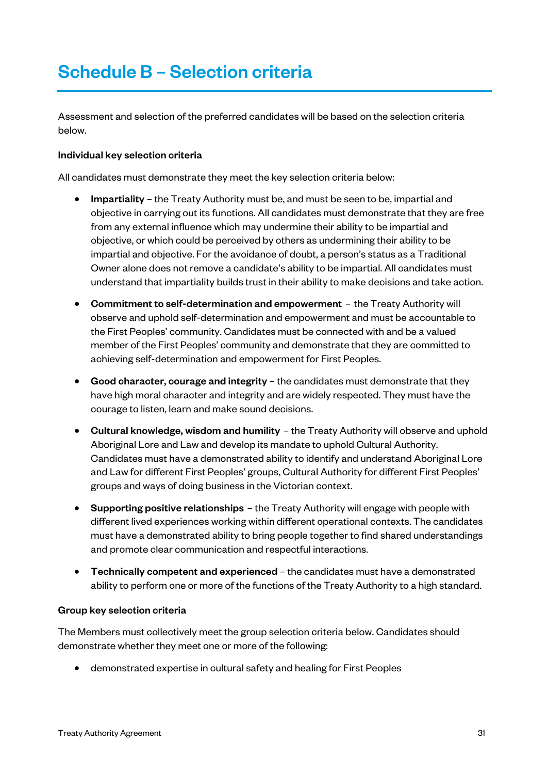### Schedule B – Selection criteria

Assessment and selection of the preferred candidates will be based on the selection criteria below.

#### Individual key selection criteria

All candidates must demonstrate they meet the key selection criteria below:

- Impartiality the Treaty Authority must be, and must be seen to be, impartial and objective in carrying out its functions. All candidates must demonstrate that they are free from any external influence which may undermine their ability to be impartial and objective, or which could be perceived by others as undermining their ability to be impartial and objective. For the avoidance of doubt, a person's status as a Traditional Owner alone does not remove a candidate's ability to be impartial. All candidates must understand that impartiality builds trust in their ability to make decisions and take action.
- Commitment to self-determination and empowerment the Treaty Authority will observe and uphold self-determination and empowerment and must be accountable to the First Peoples' community. Candidates must be connected with and be a valued member of the First Peoples' community and demonstrate that they are committed to achieving self-determination and empowerment for First Peoples.
- Good character, courage and integrity the candidates must demonstrate that they have high moral character and integrity and are widely respected. They must have the courage to listen, learn and make sound decisions.
- Cultural knowledge, wisdom and humility the Treaty Authority will observe and uphold Aboriginal Lore and Law and develop its mandate to uphold Cultural Authority. Candidates must have a demonstrated ability to identify and understand Aboriginal Lore and Law for different First Peoples' groups, Cultural Authority for different First Peoples' groups and ways of doing business in the Victorian context.
- Supporting positive relationships the Treaty Authority will engage with people with different lived experiences working within different operational contexts. The candidates must have a demonstrated ability to bring people together to find shared understandings and promote clear communication and respectful interactions.
- Technically competent and experienced the candidates must have a demonstrated ability to perform one or more of the functions of the Treaty Authority to a high standard.

#### Group key selection criteria

The Members must collectively meet the group selection criteria below. Candidates should demonstrate whether they meet one or more of the following:

• demonstrated expertise in cultural safety and healing for First Peoples